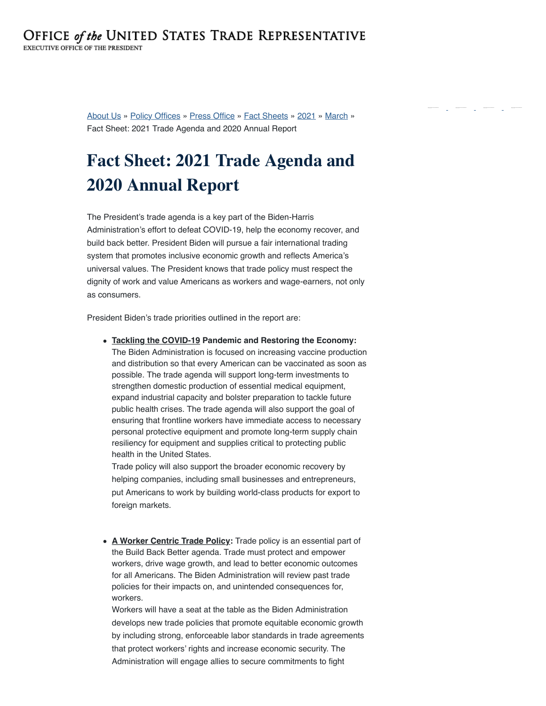[About Us](https://ustr.gov/about-us) » [Policy Offices](https://ustr.gov/about-us/policy-offices) » [Press Office](https://ustr.gov/about-us/policy-offices/press-office) » [Fact Sheets](https://ustr.gov/about-us/policy-offices/press-office/fact-sheets) » [2021](https://ustr.gov/about-us/policy-offices/press-office/fact-sheets/2021) » [March](https://ustr.gov/about-us/policy-offices/press-office/fact-sheets/2021/march) » Fact Sheet: 2021 Trade Agenda and 2020 Annual Report

## **Fact Sheet: 2021 Trade Agenda and 2020 Annual Report**

The President's trade agenda is a key part of the Biden-Harris Administration's effort to defeat COVID-19, help the economy recover, and build back better. President Biden will pursue a fair international trading system that promotes inclusive economic growth and reflects America's universal values. The President knows that trade policy must respect the dignity of work and value Americans as workers and wage-earners, not only as consumers.

President Biden's trade priorities outlined in the report are:

**Tackling the COVID-19 Pandemic and Restoring the Economy:** The Biden Administration is focused on increasing vaccine production and distribution so that every American can be vaccinated as soon as possible. The trade agenda will support long-term investments to strengthen domestic production of essential medical equipment, expand industrial capacity and bolster preparation to tackle future public health crises. The trade agenda will also support the goal of ensuring that frontline workers have immediate access to necessary personal protective equipment and promote long-term supply chain resiliency for equipment and supplies critical to protecting public health in the United States.

Trade policy will also support the broader economic recovery by helping companies, including small businesses and entrepreneurs, put Americans to work by building world-class products for export to foreign markets.

**A Worker Centric Trade Policy:** Trade policy is an essential part of the Build Back Better agenda. Trade must protect and empower workers, drive wage growth, and lead to better economic outcomes for all Americans. The Biden Administration will review past trade policies for their impacts on, and unintended consequences for, workers.

Workers will have a seat at the table as the Biden Administration develops new trade policies that promote equitable economic growth by including strong, enforceable labor standards in trade agreements that protect workers' rights and increase economic security. The Administration will engage allies to secure commitments to fight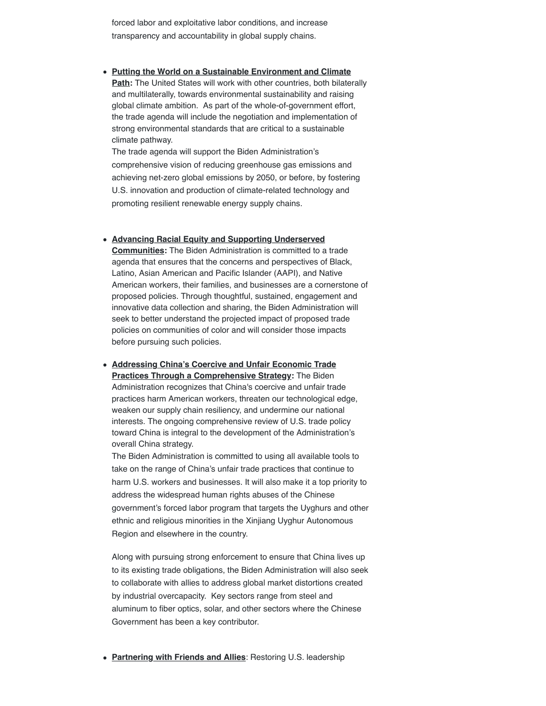forced labor and exploitative labor conditions, and increase transparency and accountability in global supply chains.

**Putting the World on a Sustainable Environment and Climate Path:** The United States will work with other countries, both bilaterally and multilaterally, towards environmental sustainability and raising global climate ambition. As part of the whole-of-government effort, the trade agenda will include the negotiation and implementation of strong environmental standards that are critical to a sustainable climate pathway.

The trade agenda will support the Biden Administration's comprehensive vision of reducing greenhouse gas emissions and achieving net-zero global emissions by 2050, or before, by fostering U.S. innovation and production of climate-related technology and promoting resilient renewable energy supply chains.

**Advancing Racial Equity and Supporting Underserved Communities:** The Biden Administration is committed to a trade agenda that ensures that the concerns and perspectives of Black, Latino, Asian American and Pacific Islander (AAPI), and Native American workers, their families, and businesses are a cornerstone of proposed policies. Through thoughtful, sustained, engagement and innovative data collection and sharing, the Biden Administration will seek to better understand the projected impact of proposed trade policies on communities of color and will consider those impacts before pursuing such policies.

**Addressing China's Coercive and Unfair Economic Trade Practices Through a Comprehensive Strategy:** The Biden Administration recognizes that China's coercive and unfair trade practices harm American workers, threaten our technological edge, weaken our supply chain resiliency, and undermine our national interests. The ongoing comprehensive review of U.S. trade policy toward China is integral to the development of the Administration's overall China strategy.

The Biden Administration is committed to using all available tools to take on the range of China's unfair trade practices that continue to harm U.S. workers and businesses. It will also make it a top priority to address the widespread human rights abuses of the Chinese government's forced labor program that targets the Uyghurs and other ethnic and religious minorities in the Xinjiang Uyghur Autonomous Region and elsewhere in the country.

Along with pursuing strong enforcement to ensure that China lives up to its existing trade obligations, the Biden Administration will also seek to collaborate with allies to address global market distortions created by industrial overcapacity. Key sectors range from steel and aluminum to fiber optics, solar, and other sectors where the Chinese Government has been a key contributor.

**Partnering with Friends and Allies**: Restoring U.S. leadership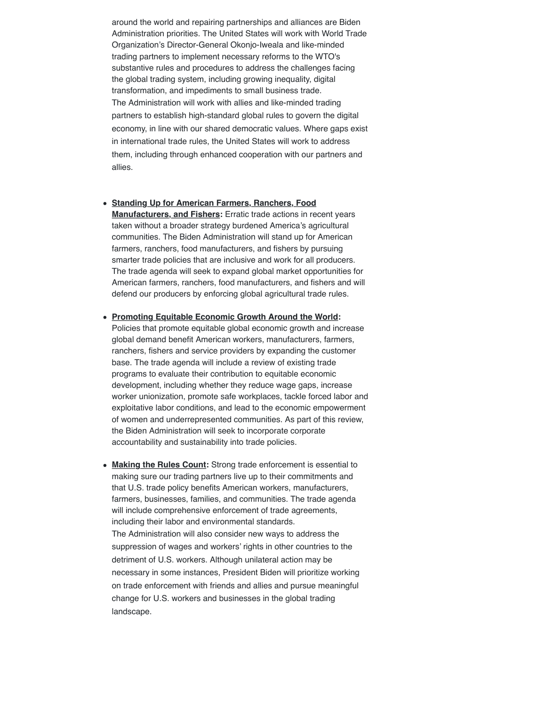around the world and repairing partnerships and alliances are Biden Administration priorities. The United States will work with World Trade Organization's Director-General Okonjo-Iweala and like-minded trading partners to implement necessary reforms to the WTO's substantive rules and procedures to address the challenges facing the global trading system, including growing inequality, digital transformation, and impediments to small business trade. The Administration will work with allies and like-minded trading partners to establish high-standard global rules to govern the digital economy, in line with our shared democratic values. Where gaps exist in international trade rules, the United States will work to address them, including through enhanced cooperation with our partners and allies.

- **Standing Up for American Farmers, Ranchers, Food Manufacturers, and Fishers:** Erratic trade actions in recent years taken without a broader strategy burdened America's agricultural communities. The Biden Administration will stand up for American farmers, ranchers, food manufacturers, and fishers by pursuing smarter trade policies that are inclusive and work for all producers. The trade agenda will seek to expand global market opportunities for American farmers, ranchers, food manufacturers, and fishers and will defend our producers by enforcing global agricultural trade rules.
- **Promoting Equitable Economic Growth Around the World:** Policies that promote equitable global economic growth and increase global demand benefit American workers, manufacturers, farmers, ranchers, fishers and service providers by expanding the customer base. The trade agenda will include a review of existing trade programs to evaluate their contribution to equitable economic development, including whether they reduce wage gaps, increase worker unionization, promote safe workplaces, tackle forced labor and exploitative labor conditions, and lead to the economic empowerment of women and underrepresented communities. As part of this review, the Biden Administration will seek to incorporate corporate accountability and sustainability into trade policies.
- **Making the Rules Count:** Strong trade enforcement is essential to making sure our trading partners live up to their commitments and that U.S. trade policy benefits American workers, manufacturers, farmers, businesses, families, and communities. The trade agenda will include comprehensive enforcement of trade agreements, including their labor and environmental standards. The Administration will also consider new ways to address the suppression of wages and workers' rights in other countries to the detriment of U.S. workers. Although unilateral action may be necessary in some instances, President Biden will prioritize working on trade enforcement with friends and allies and pursue meaningful change for U.S. workers and businesses in the global trading landscape.